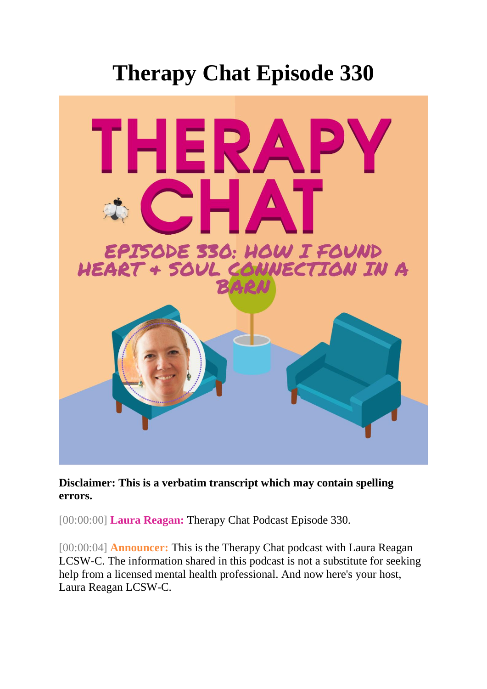## **Therapy Chat Episode 330**



**Disclaimer: This is a verbatim transcript which may contain spelling errors.** 

[00:00:00] **Laura Reagan:** Therapy Chat Podcast Episode 330.

[ $00:00:04$ ] **Announcer:** This is the Therapy Chat podcast with Laura Reagan LCSW-C. The information shared in this podcast is not a substitute for seeking help from a licensed mental health professional. And now here's your host, Laura Reagan LCSW-C.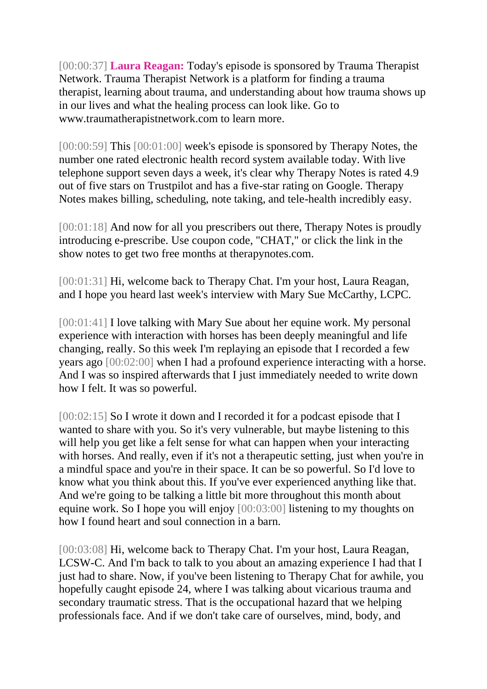[00:00:37] **Laura Reagan:** Today's episode is sponsored by Trauma Therapist Network. Trauma Therapist Network is a platform for finding a trauma therapist, learning about trauma, and understanding about how trauma shows up in our lives and what the healing process can look like. Go to www.traumatherapistnetwork.com to learn more.

[00:00:59] This [00:01:00] week's episode is sponsored by Therapy Notes, the number one rated electronic health record system available today. With live telephone support seven days a week, it's clear why Therapy Notes is rated 4.9 out of five stars on Trustpilot and has a five-star rating on Google. Therapy Notes makes billing, scheduling, note taking, and tele-health incredibly easy.

[00:01:18] And now for all you prescribers out there, Therapy Notes is proudly introducing e-prescribe. Use coupon code, "CHAT," or click the link in the show notes to get two free months at therapynotes.com.

[00:01:31] Hi, welcome back to Therapy Chat. I'm your host, Laura Reagan, and I hope you heard last week's interview with Mary Sue McCarthy, LCPC.

[00:01:41] I love talking with Mary Sue about her equine work. My personal experience with interaction with horses has been deeply meaningful and life changing, really. So this week I'm replaying an episode that I recorded a few years ago [00:02:00] when I had a profound experience interacting with a horse. And I was so inspired afterwards that I just immediately needed to write down how I felt. It was so powerful.

[00:02:15] So I wrote it down and I recorded it for a podcast episode that I wanted to share with you. So it's very vulnerable, but maybe listening to this will help you get like a felt sense for what can happen when your interacting with horses. And really, even if it's not a therapeutic setting, just when you're in a mindful space and you're in their space. It can be so powerful. So I'd love to know what you think about this. If you've ever experienced anything like that. And we're going to be talking a little bit more throughout this month about equine work. So I hope you will enjoy [00:03:00] listening to my thoughts on how I found heart and soul connection in a barn.

[00:03:08] Hi, welcome back to Therapy Chat. I'm your host, Laura Reagan, LCSW-C. And I'm back to talk to you about an amazing experience I had that I just had to share. Now, if you've been listening to Therapy Chat for awhile, you hopefully caught episode 24, where I was talking about vicarious trauma and secondary traumatic stress. That is the occupational hazard that we helping professionals face. And if we don't take care of ourselves, mind, body, and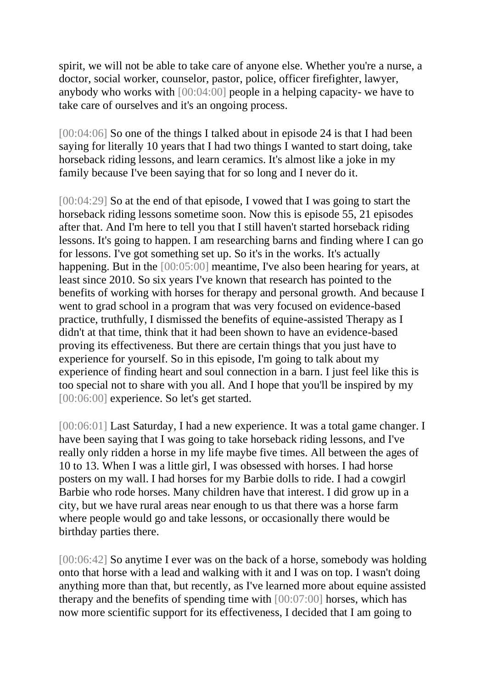spirit, we will not be able to take care of anyone else. Whether you're a nurse, a doctor, social worker, counselor, pastor, police, officer firefighter, lawyer, anybody who works with [00:04:00] people in a helping capacity- we have to take care of ourselves and it's an ongoing process.

[00:04:06] So one of the things I talked about in episode 24 is that I had been saying for literally 10 years that I had two things I wanted to start doing, take horseback riding lessons, and learn ceramics. It's almost like a joke in my family because I've been saying that for so long and I never do it.

[00:04:29] So at the end of that episode, I vowed that I was going to start the horseback riding lessons sometime soon. Now this is episode 55, 21 episodes after that. And I'm here to tell you that I still haven't started horseback riding lessons. It's going to happen. I am researching barns and finding where I can go for lessons. I've got something set up. So it's in the works. It's actually happening. But in the [00:05:00] meantime, I've also been hearing for years, at least since 2010. So six years I've known that research has pointed to the benefits of working with horses for therapy and personal growth. And because I went to grad school in a program that was very focused on evidence-based practice, truthfully, I dismissed the benefits of equine-assisted Therapy as I didn't at that time, think that it had been shown to have an evidence-based proving its effectiveness. But there are certain things that you just have to experience for yourself. So in this episode, I'm going to talk about my experience of finding heart and soul connection in a barn. I just feel like this is too special not to share with you all. And I hope that you'll be inspired by my [00:06:00] experience. So let's get started.

[00:06:01] Last Saturday, I had a new experience. It was a total game changer. I have been saying that I was going to take horseback riding lessons, and I've really only ridden a horse in my life maybe five times. All between the ages of 10 to 13. When I was a little girl, I was obsessed with horses. I had horse posters on my wall. I had horses for my Barbie dolls to ride. I had a cowgirl Barbie who rode horses. Many children have that interest. I did grow up in a city, but we have rural areas near enough to us that there was a horse farm where people would go and take lessons, or occasionally there would be birthday parties there.

[00:06:42] So anytime I ever was on the back of a horse, somebody was holding onto that horse with a lead and walking with it and I was on top. I wasn't doing anything more than that, but recently, as I've learned more about equine assisted therapy and the benefits of spending time with [00:07:00] horses, which has now more scientific support for its effectiveness, I decided that I am going to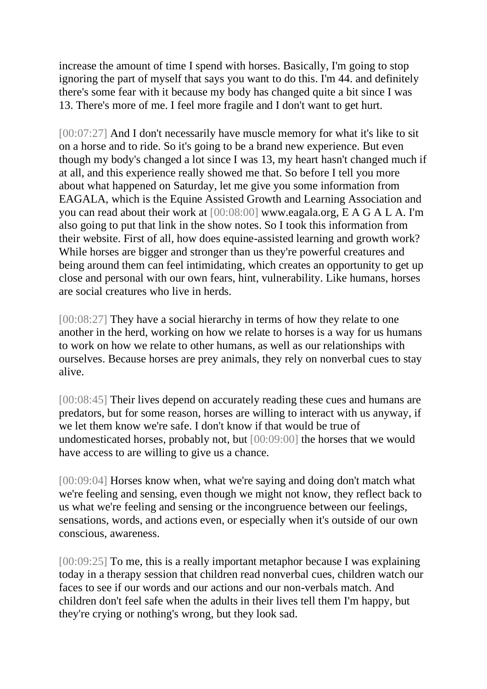increase the amount of time I spend with horses. Basically, I'm going to stop ignoring the part of myself that says you want to do this. I'm 44. and definitely there's some fear with it because my body has changed quite a bit since I was 13. There's more of me. I feel more fragile and I don't want to get hurt.

[00:07:27] And I don't necessarily have muscle memory for what it's like to sit on a horse and to ride. So it's going to be a brand new experience. But even though my body's changed a lot since I was 13, my heart hasn't changed much if at all, and this experience really showed me that. So before I tell you more about what happened on Saturday, let me give you some information from EAGALA, which is the Equine Assisted Growth and Learning Association and you can read about their work at [00:08:00] www.eagala.org, E A G A L A. I'm also going to put that link in the show notes. So I took this information from their website. First of all, how does equine-assisted learning and growth work? While horses are bigger and stronger than us they're powerful creatures and being around them can feel intimidating, which creates an opportunity to get up close and personal with our own fears, hint, vulnerability. Like humans, horses are social creatures who live in herds.

[00:08:27] They have a social hierarchy in terms of how they relate to one another in the herd, working on how we relate to horses is a way for us humans to work on how we relate to other humans, as well as our relationships with ourselves. Because horses are prey animals, they rely on nonverbal cues to stay alive.

[00:08:45] Their lives depend on accurately reading these cues and humans are predators, but for some reason, horses are willing to interact with us anyway, if we let them know we're safe. I don't know if that would be true of undomesticated horses, probably not, but [00:09:00] the horses that we would have access to are willing to give us a chance.

[00:09:04] Horses know when, what we're saying and doing don't match what we're feeling and sensing, even though we might not know, they reflect back to us what we're feeling and sensing or the incongruence between our feelings, sensations, words, and actions even, or especially when it's outside of our own conscious, awareness.

[00:09:25] To me, this is a really important metaphor because I was explaining today in a therapy session that children read nonverbal cues, children watch our faces to see if our words and our actions and our non-verbals match. And children don't feel safe when the adults in their lives tell them I'm happy, but they're crying or nothing's wrong, but they look sad.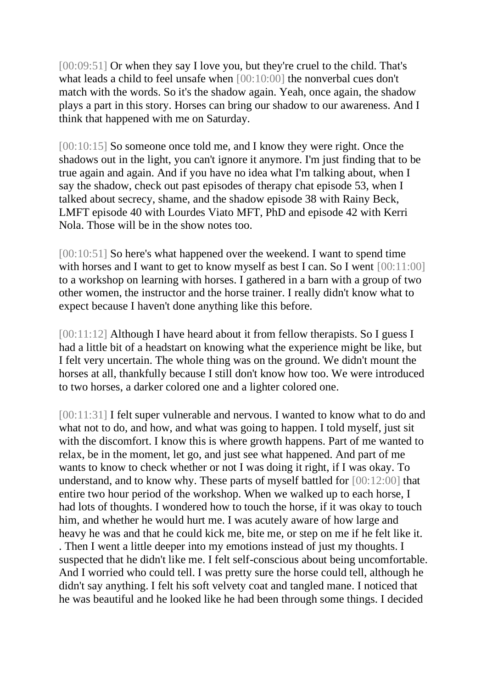[00:09:51] Or when they say I love you, but they're cruel to the child. That's what leads a child to feel unsafe when [00:10:00] the nonverbal cues don't match with the words. So it's the shadow again. Yeah, once again, the shadow plays a part in this story. Horses can bring our shadow to our awareness. And I think that happened with me on Saturday.

[00:10:15] So someone once told me, and I know they were right. Once the shadows out in the light, you can't ignore it anymore. I'm just finding that to be true again and again. And if you have no idea what I'm talking about, when I say the shadow, check out past episodes of therapy chat episode 53, when I talked about secrecy, shame, and the shadow episode 38 with Rainy Beck, LMFT episode 40 with Lourdes Viato MFT, PhD and episode 42 with Kerri Nola. Those will be in the show notes too.

[00:10:51] So here's what happened over the weekend. I want to spend time with horses and I want to get to know myself as best I can. So I went [00:11:00] to a workshop on learning with horses. I gathered in a barn with a group of two other women, the instructor and the horse trainer. I really didn't know what to expect because I haven't done anything like this before.

[00:11:12] Although I have heard about it from fellow therapists. So I guess I had a little bit of a headstart on knowing what the experience might be like, but I felt very uncertain. The whole thing was on the ground. We didn't mount the horses at all, thankfully because I still don't know how too. We were introduced to two horses, a darker colored one and a lighter colored one.

[00:11:31] I felt super vulnerable and nervous. I wanted to know what to do and what not to do, and how, and what was going to happen. I told myself, just sit with the discomfort. I know this is where growth happens. Part of me wanted to relax, be in the moment, let go, and just see what happened. And part of me wants to know to check whether or not I was doing it right, if I was okay. To understand, and to know why. These parts of myself battled for [00:12:00] that entire two hour period of the workshop. When we walked up to each horse, I had lots of thoughts. I wondered how to touch the horse, if it was okay to touch him, and whether he would hurt me. I was acutely aware of how large and heavy he was and that he could kick me, bite me, or step on me if he felt like it. . Then I went a little deeper into my emotions instead of just my thoughts. I suspected that he didn't like me. I felt self-conscious about being uncomfortable. And I worried who could tell. I was pretty sure the horse could tell, although he didn't say anything. I felt his soft velvety coat and tangled mane. I noticed that he was beautiful and he looked like he had been through some things. I decided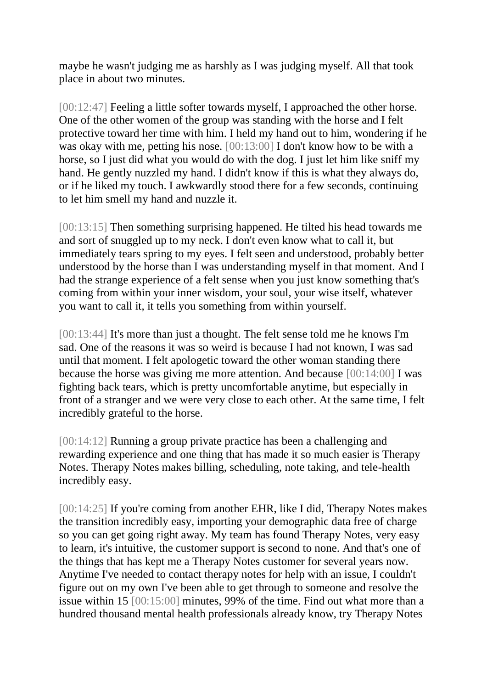maybe he wasn't judging me as harshly as I was judging myself. All that took place in about two minutes.

[00:12:47] Feeling a little softer towards myself, I approached the other horse. One of the other women of the group was standing with the horse and I felt protective toward her time with him. I held my hand out to him, wondering if he was okay with me, petting his nose. [00:13:00] I don't know how to be with a horse, so I just did what you would do with the dog. I just let him like sniff my hand. He gently nuzzled my hand. I didn't know if this is what they always do, or if he liked my touch. I awkwardly stood there for a few seconds, continuing to let him smell my hand and nuzzle it.

[00:13:15] Then something surprising happened. He tilted his head towards me and sort of snuggled up to my neck. I don't even know what to call it, but immediately tears spring to my eyes. I felt seen and understood, probably better understood by the horse than I was understanding myself in that moment. And I had the strange experience of a felt sense when you just know something that's coming from within your inner wisdom, your soul, your wise itself, whatever you want to call it, it tells you something from within yourself.

[00:13:44] It's more than just a thought. The felt sense told me he knows I'm sad. One of the reasons it was so weird is because I had not known, I was sad until that moment. I felt apologetic toward the other woman standing there because the horse was giving me more attention. And because [00:14:00] I was fighting back tears, which is pretty uncomfortable anytime, but especially in front of a stranger and we were very close to each other. At the same time, I felt incredibly grateful to the horse.

[00:14:12] Running a group private practice has been a challenging and rewarding experience and one thing that has made it so much easier is Therapy Notes. Therapy Notes makes billing, scheduling, note taking, and tele-health incredibly easy.

[00:14:25] If you're coming from another EHR, like I did, Therapy Notes makes the transition incredibly easy, importing your demographic data free of charge so you can get going right away. My team has found Therapy Notes, very easy to learn, it's intuitive, the customer support is second to none. And that's one of the things that has kept me a Therapy Notes customer for several years now. Anytime I've needed to contact therapy notes for help with an issue, I couldn't figure out on my own I've been able to get through to someone and resolve the issue within 15 [00:15:00] minutes, 99% of the time. Find out what more than a hundred thousand mental health professionals already know, try Therapy Notes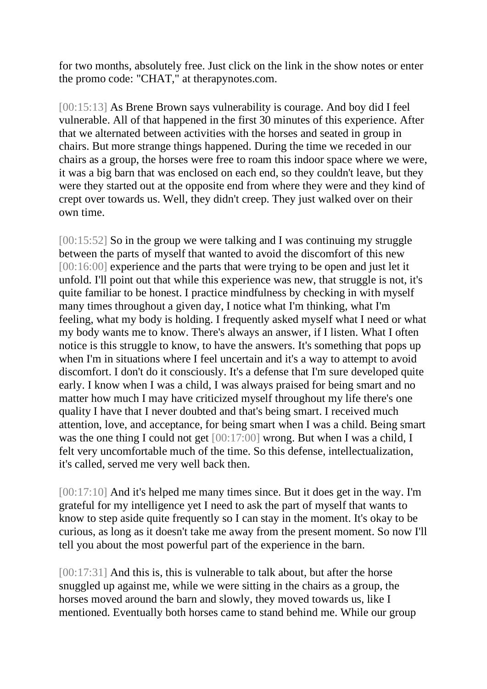for two months, absolutely free. Just click on the link in the show notes or enter the promo code: "CHAT," at therapynotes.com.

[00:15:13] As Brene Brown says vulnerability is courage. And boy did I feel vulnerable. All of that happened in the first 30 minutes of this experience. After that we alternated between activities with the horses and seated in group in chairs. But more strange things happened. During the time we receded in our chairs as a group, the horses were free to roam this indoor space where we were, it was a big barn that was enclosed on each end, so they couldn't leave, but they were they started out at the opposite end from where they were and they kind of crept over towards us. Well, they didn't creep. They just walked over on their own time.

[00:15:52] So in the group we were talking and I was continuing my struggle between the parts of myself that wanted to avoid the discomfort of this new [00:16:00] experience and the parts that were trying to be open and just let it unfold. I'll point out that while this experience was new, that struggle is not, it's quite familiar to be honest. I practice mindfulness by checking in with myself many times throughout a given day, I notice what I'm thinking, what I'm feeling, what my body is holding. I frequently asked myself what I need or what my body wants me to know. There's always an answer, if I listen. What I often notice is this struggle to know, to have the answers. It's something that pops up when I'm in situations where I feel uncertain and it's a way to attempt to avoid discomfort. I don't do it consciously. It's a defense that I'm sure developed quite early. I know when I was a child, I was always praised for being smart and no matter how much I may have criticized myself throughout my life there's one quality I have that I never doubted and that's being smart. I received much attention, love, and acceptance, for being smart when I was a child. Being smart was the one thing I could not get [00:17:00] wrong. But when I was a child, I felt very uncomfortable much of the time. So this defense, intellectualization, it's called, served me very well back then.

[00:17:10] And it's helped me many times since. But it does get in the way. I'm grateful for my intelligence yet I need to ask the part of myself that wants to know to step aside quite frequently so I can stay in the moment. It's okay to be curious, as long as it doesn't take me away from the present moment. So now I'll tell you about the most powerful part of the experience in the barn.

[00:17:31] And this is, this is vulnerable to talk about, but after the horse snuggled up against me, while we were sitting in the chairs as a group, the horses moved around the barn and slowly, they moved towards us, like I mentioned. Eventually both horses came to stand behind me. While our group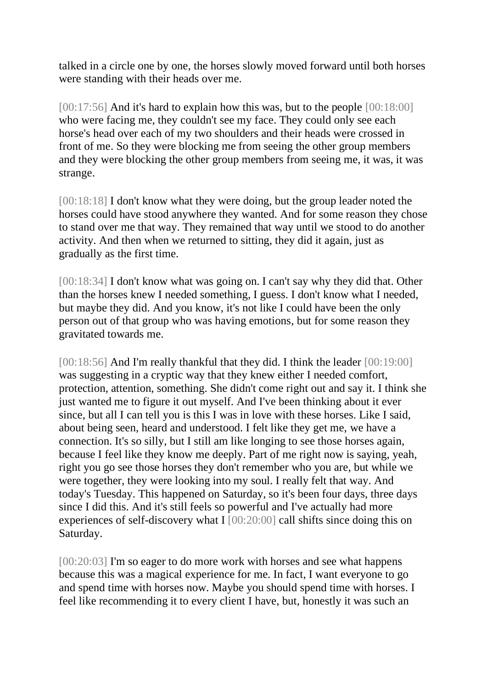talked in a circle one by one, the horses slowly moved forward until both horses were standing with their heads over me.

[00:17:56] And it's hard to explain how this was, but to the people [00:18:00] who were facing me, they couldn't see my face. They could only see each horse's head over each of my two shoulders and their heads were crossed in front of me. So they were blocking me from seeing the other group members and they were blocking the other group members from seeing me, it was, it was strange.

[00:18:18] I don't know what they were doing, but the group leader noted the horses could have stood anywhere they wanted. And for some reason they chose to stand over me that way. They remained that way until we stood to do another activity. And then when we returned to sitting, they did it again, just as gradually as the first time.

[00:18:34] I don't know what was going on. I can't say why they did that. Other than the horses knew I needed something, I guess. I don't know what I needed, but maybe they did. And you know, it's not like I could have been the only person out of that group who was having emotions, but for some reason they gravitated towards me.

[00:18:56] And I'm really thankful that they did. I think the leader [00:19:00] was suggesting in a cryptic way that they knew either I needed comfort, protection, attention, something. She didn't come right out and say it. I think she just wanted me to figure it out myself. And I've been thinking about it ever since, but all I can tell you is this I was in love with these horses. Like I said, about being seen, heard and understood. I felt like they get me, we have a connection. It's so silly, but I still am like longing to see those horses again, because I feel like they know me deeply. Part of me right now is saying, yeah, right you go see those horses they don't remember who you are, but while we were together, they were looking into my soul. I really felt that way. And today's Tuesday. This happened on Saturday, so it's been four days, three days since I did this. And it's still feels so powerful and I've actually had more experiences of self-discovery what I [00:20:00] call shifts since doing this on Saturday.

[00:20:03] I'm so eager to do more work with horses and see what happens because this was a magical experience for me. In fact, I want everyone to go and spend time with horses now. Maybe you should spend time with horses. I feel like recommending it to every client I have, but, honestly it was such an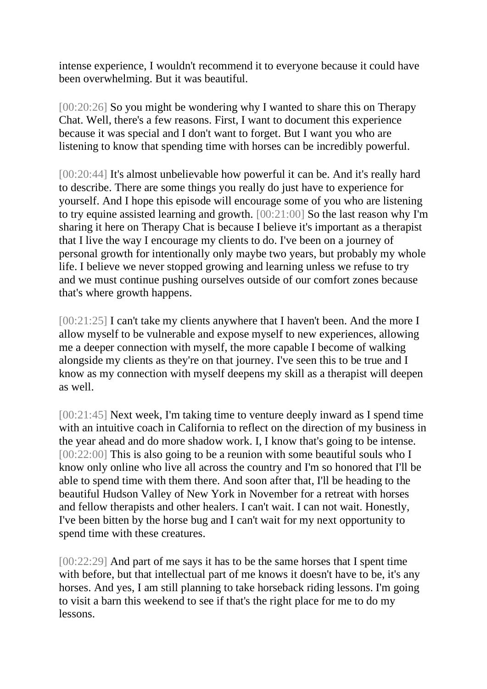intense experience, I wouldn't recommend it to everyone because it could have been overwhelming. But it was beautiful.

[00:20:26] So you might be wondering why I wanted to share this on Therapy Chat. Well, there's a few reasons. First, I want to document this experience because it was special and I don't want to forget. But I want you who are listening to know that spending time with horses can be incredibly powerful.

[00:20:44] It's almost unbelievable how powerful it can be. And it's really hard to describe. There are some things you really do just have to experience for yourself. And I hope this episode will encourage some of you who are listening to try equine assisted learning and growth. [00:21:00] So the last reason why I'm sharing it here on Therapy Chat is because I believe it's important as a therapist that I live the way I encourage my clients to do. I've been on a journey of personal growth for intentionally only maybe two years, but probably my whole life. I believe we never stopped growing and learning unless we refuse to try and we must continue pushing ourselves outside of our comfort zones because that's where growth happens.

[00:21:25] I can't take my clients anywhere that I haven't been. And the more I allow myself to be vulnerable and expose myself to new experiences, allowing me a deeper connection with myself, the more capable I become of walking alongside my clients as they're on that journey. I've seen this to be true and I know as my connection with myself deepens my skill as a therapist will deepen as well.

[00:21:45] Next week, I'm taking time to venture deeply inward as I spend time with an intuitive coach in California to reflect on the direction of my business in the year ahead and do more shadow work. I, I know that's going to be intense. [00:22:00] This is also going to be a reunion with some beautiful souls who I know only online who live all across the country and I'm so honored that I'll be able to spend time with them there. And soon after that, I'll be heading to the beautiful Hudson Valley of New York in November for a retreat with horses and fellow therapists and other healers. I can't wait. I can not wait. Honestly, I've been bitten by the horse bug and I can't wait for my next opportunity to spend time with these creatures.

[00:22:29] And part of me says it has to be the same horses that I spent time with before, but that intellectual part of me knows it doesn't have to be, it's any horses. And yes, I am still planning to take horseback riding lessons. I'm going to visit a barn this weekend to see if that's the right place for me to do my lessons.